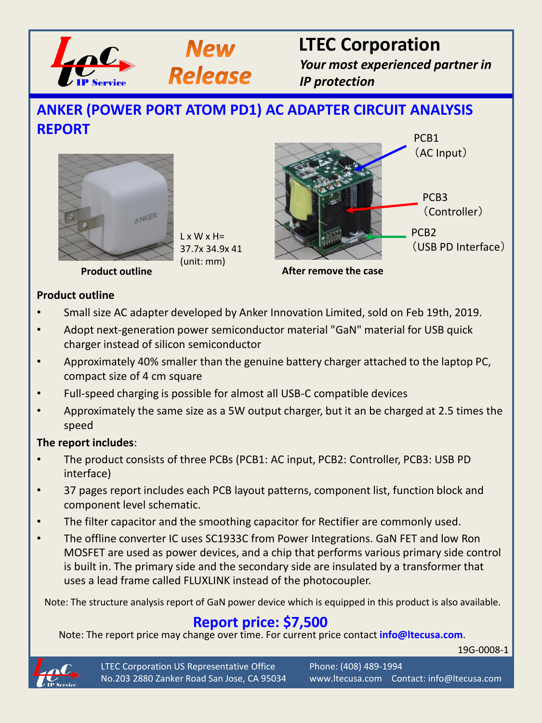



# **LTEC Corporation**

*Your most experienced partner in IP protection*

### **ANKER (POWER PORT ATOM PD1) AC ADAPTER CIRCUIT ANALYSIS REPORT**



 $L \times W \times H =$ 37.7x 34.9x 41 (unit: mm)



**After remove the case**

#### **Product outline**

- Small size AC adapter developed by Anker Innovation Limited, sold on Feb 19th, 2019.
- Adopt next-generation power semiconductor material "GaN" material for USB quick charger instead of silicon semiconductor
- Approximately 40% smaller than the genuine battery charger attached to the laptop PC, compact size of 4 cm square
- Full-speed charging is possible for almost all USB-C compatible devices
- Approximately the same size as a 5W output charger, but it an be charged at 2.5 times the speed

#### **The report includes**:

- The product consists of three PCBs (PCB1: AC input, PCB2: Controller, PCB3: USB PD interface)
- 37 pages report includes each PCB layout patterns, component list, function block and component level schematic.
- The filter capacitor and the smoothing capacitor for Rectifier are commonly used.
- The offline converter IC uses SC1933C from Power Integrations. GaN FET and low Ron MOSFET are used as power devices, and a chip that performs various primary side control is built in. The primary side and the secondary side are insulated by a transformer that uses a lead frame called FLUXLINK instead of the photocoupler.

Note: The structure analysis report of GaN power device which is equipped in this product is also available.

### **Report price: \$7,500**

Note: The report price may change over time. For current price contact **info@ltecusa.com**.

19G-0008-1



LTEC Corporation US Representative Office Phone: (408) 489-1994